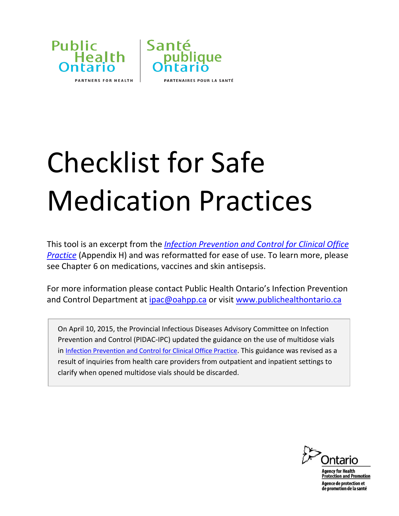



## Checklist for Safe Medication Practices

This tool is an excerpt from the *[Infection Prevention and Control for Clinical Office](http://www.publichealthontario.ca/en/eRepository/IPAC_Clinical_Office_Practice_2013.pdf)  [Practice](http://www.publichealthontario.ca/en/eRepository/IPAC_Clinical_Office_Practice_2013.pdf)* (Appendix H) and was reformatted for ease of use. To learn more, please see Chapter 6 on medications, vaccines and skin antisepsis.

For more information please contact Public Health Ontario's Infection Prevention and Control Department at [ipac@oahpp.ca](mailto:ipac@oahpp.ca) or visit [www.publichealthontario.ca](http://www.publichealthontario.ca/)

On April 10, 2015, the Provincial Infectious Diseases Advisory Committee on Infection Prevention and Control (PIDAC-IPC) updated the guidance on the use of multidose vials in [Infection Prevention and Control for Clinical Office Practice](https://secure.publichealthontario.ca/en/eRepository/IPAC_Clinical_Office_Practice_2013.pdf#page=40). This guidance was revised as a result of inquiries from health care providers from outpatient and inpatient settings to clarify when opened multidose vials should be discarded.



gency for Health tection and Promotion gence de protection et e promotion de la santé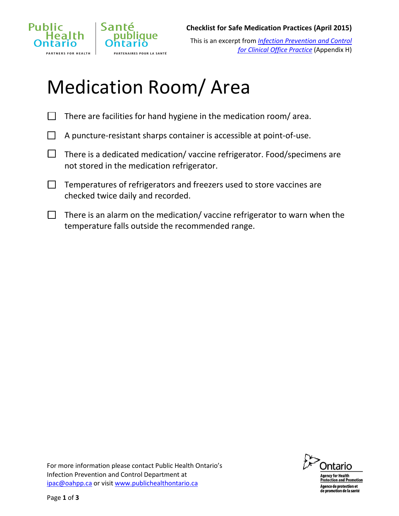

This is an excerpt from *[Infection Prevention and Control](http://www.publichealthontario.ca/en/eRepository/IPAC_Clinical_Office_Practice_2013.pdf)  [for Clinical Office Practice](http://www.publichealthontario.ca/en/eRepository/IPAC_Clinical_Office_Practice_2013.pdf)* (Appendix H)

## Medication Room/ Area

- $\Box$  There are facilities for hand hygiene in the medication room/ area.
- $\Box$  A puncture-resistant sharps container is accessible at point-of-use.
- $\Box$  There is a dedicated medication/vaccine refrigerator. Food/specimens are not stored in the medication refrigerator.
- $\Box$  Temperatures of refrigerators and freezers used to store vaccines are checked twice daily and recorded.
- $\Box$  There is an alarm on the medication/ vaccine refrigerator to warn when the temperature falls outside the recommended range.





<u>rotection and Promotion</u> gence de protection et<br>e promotion de la santé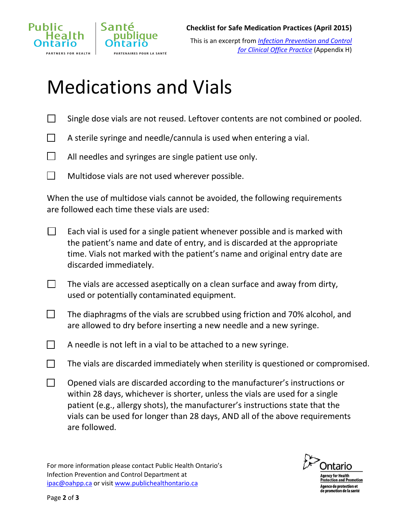

## Medications and Vials

arın

**ENAIRES POUR LA SANTÉ** 

- $\Box$  Single dose vials are not reused. Leftover contents are not combined or pooled.
- $\Box$  A sterile syringe and needle/cannula is used when entering a vial.
- $\Box$  All needles and syringes are single patient use only.
- $\Box$  Multidose vials are not used wherever possible.

When the use of multidose vials cannot be avoided, the following requirements are followed each time these vials are used:

- $\Box$  Each vial is used for a single patient whenever possible and is marked with the patient's name and date of entry, and is discarded at the appropriate time. Vials not marked with the patient's name and original entry date are discarded immediately.
- $\Box$  The vials are accessed aseptically on a clean surface and away from dirty, used or potentially contaminated equipment.
- $\Box$  The diaphragms of the vials are scrubbed using friction and 70% alcohol, and are allowed to dry before inserting a new needle and a new syringe.
- $\Box$  A needle is not left in a vial to be attached to a new syringe.
- $\Box$  The vials are discarded immediately when sterility is questioned or compromised.
- $\Box$  Opened vials are discarded according to the manufacturer's instructions or within 28 days, whichever is shorter, unless the vials are used for a single patient (e.g., allergy shots), the manufacturer's instructions state that the vials can be used for longer than 28 days, AND all of the above requirements are followed.

For more information please contact Public Health Ontario's Infection Prevention and Control Department at [ipac@oahpp.ca](mailto:ipac@oahpp.ca) or visit [www.publichealthontario.ca](http://www.publichealthontario.ca/)



ncy for Health rotection and Promotion ence de protection et<br>· promotion de la santé